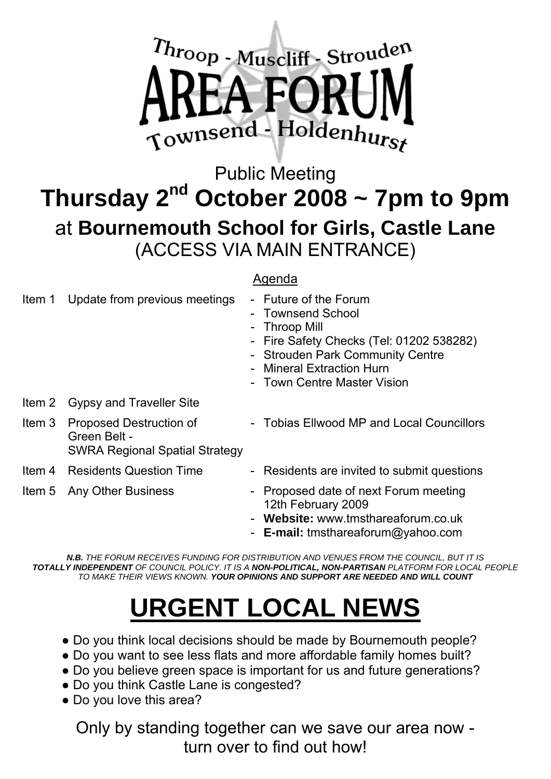

# Public Meeting **Thursday 2nd October 2008 ~ 7pm to 9pm**  at **Bournemouth School for Girls, Castle Lane**  (ACCESS VIA MAIN ENTRANCE)

#### Agenda

| Item 1 | Update from previous meetings                                                    | - Future of the Forum<br>- Townsend School<br>- Throop Mill<br>- Fire Safety Checks (Tel: 01202 538282)<br>- Strouden Park Community Centre<br>- Mineral Extraction Hurn<br>- Town Centre Master Vision |
|--------|----------------------------------------------------------------------------------|---------------------------------------------------------------------------------------------------------------------------------------------------------------------------------------------------------|
| Item 2 | <b>Gypsy and Traveller Site</b>                                                  |                                                                                                                                                                                                         |
| Item 3 | Proposed Destruction of<br>Green Belt -<br><b>SWRA Regional Spatial Strategy</b> | - Tobias Ellwood MP and Local Councillors                                                                                                                                                               |
|        | <b>Item 4 Residents Question Time</b>                                            | - Residents are invited to submit questions                                                                                                                                                             |
|        | Item 5 Any Other Business                                                        | Proposed date of next Forum meeting<br>12th February 2009<br>Website: www.tmsthareaforum.co.uk<br>- E-mail: tmsthareaforum@yahoo.com                                                                    |

*N.B. THE FORUM RECEIVES FUNDING FOR DISTRIBUTION AND VENUES FROM THE COUNCIL, BUT IT IS TOTALLY INDEPENDENT OF COUNCIL POLICY. IT IS A NON-POLITICAL, NON-PARTISAN PLATFORM FOR LOCAL PEOPLE TO MAKE THEIR VIEWS KNOWN. YOUR OPINIONS AND SUPPORT ARE NEEDED AND WILL COUNT*

# **URGENT LOCAL NEWS**

- Do you think local decisions should be made by Bournemouth people?
- Do you want to see less flats and more affordable family homes built?
- Do you believe green space is important for us and future generations?
- Do you think Castle Lane is congested?
- Do you love this area?

Only by standing together can we save our area now turn over to find out how!